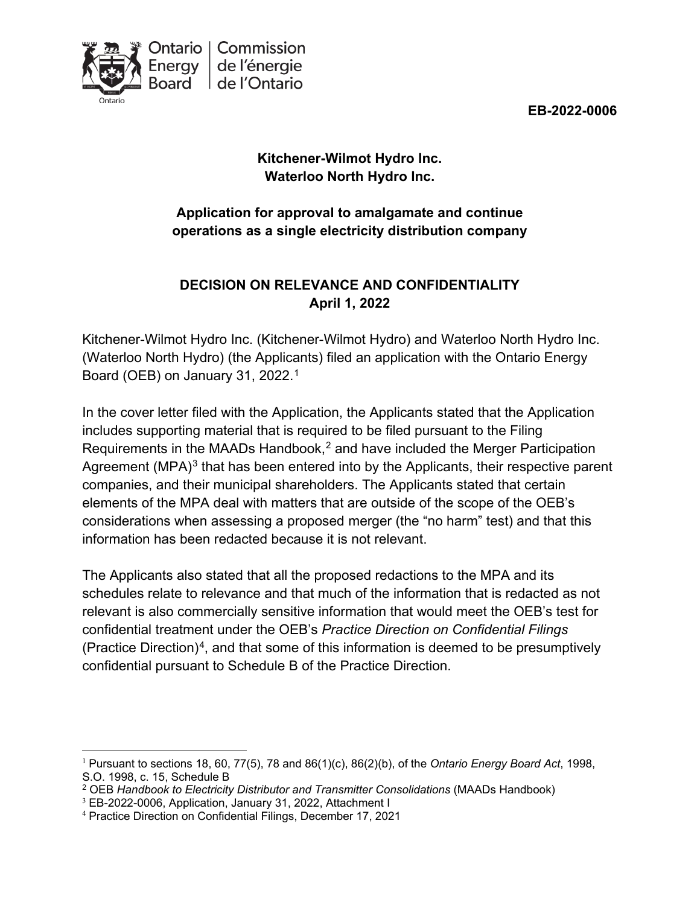



# **Kitchener-Wilmot Hydro Inc. Waterloo North Hydro Inc.**

# **Application for approval to amalgamate and continue operations as a single electricity distribution company**

# **DECISION ON RELEVANCE AND CONFIDENTIALITY April 1, 2022**

Kitchener-Wilmot Hydro Inc. (Kitchener-Wilmot Hydro) and Waterloo North Hydro Inc. (Waterloo North Hydro) (the Applicants) filed an application with the Ontario Energy Board (OEB) on January 31, 2022. [1](#page-0-0)

In the cover letter filed with the Application, the Applicants stated that the Application includes supporting material that is required to be filed pursuant to the Filing Requirements in the MAADs Handbook, $<sup>2</sup>$  $<sup>2</sup>$  $<sup>2</sup>$  and have included the Merger Participation</sup> Agreement  $(MPA)<sup>3</sup>$  $(MPA)<sup>3</sup>$  $(MPA)<sup>3</sup>$  that has been entered into by the Applicants, their respective parent companies, and their municipal shareholders. The Applicants stated that certain elements of the MPA deal with matters that are outside of the scope of the OEB's considerations when assessing a proposed merger (the "no harm" test) and that this information has been redacted because it is not relevant.

The Applicants also stated that all the proposed redactions to the MPA and its schedules relate to relevance and that much of the information that is redacted as not relevant is also commercially sensitive information that would meet the OEB's test for confidential treatment under the OEB's *Practice Direction on Confidential Filings*  (Practice Direction)<sup>4</sup>, and that some of this information is deemed to be presumptively confidential pursuant to Schedule B of the Practice Direction.

<span id="page-0-0"></span><sup>1</sup> Pursuant to sections 18, 60, 77(5), 78 and 86(1)(c), 86(2)(b), of the *Ontario Energy Board Act*, 1998, S.O. 1998, c. 15, Schedule B

<span id="page-0-1"></span><sup>&</sup>lt;sup>2</sup> OEB Handbook to Electricity Distributor and Transmitter Consolidations (MAADs Handbook)

<span id="page-0-2"></span><sup>&</sup>lt;sup>3</sup> EB-2022-0006, Application, January 31, 2022, Attachment I<br><sup>4</sup> Practice Direction on Confidential Filings, December 17, 2021

<span id="page-0-3"></span>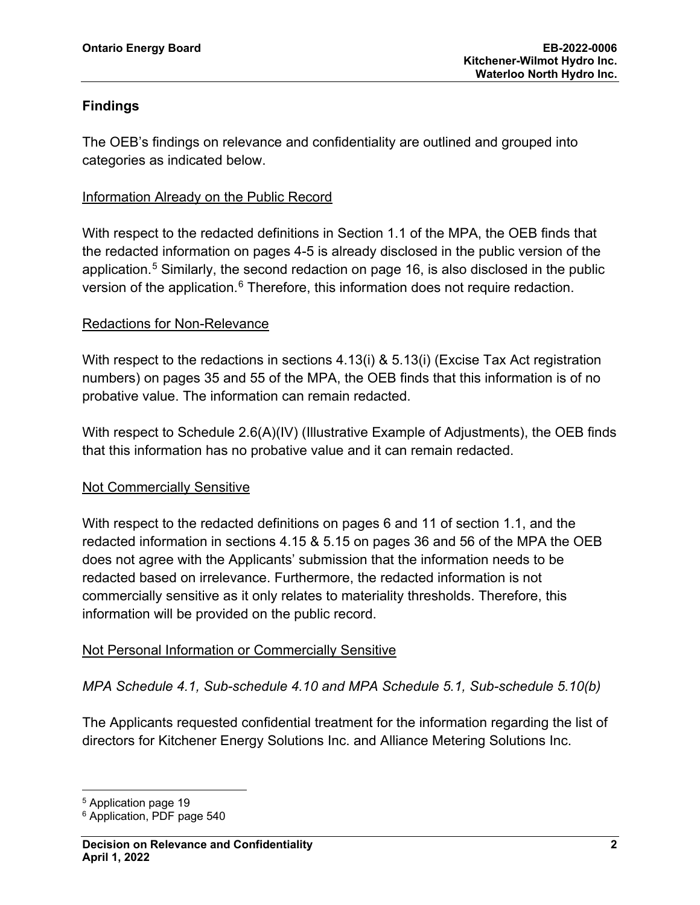### **Findings**

The OEB's findings on relevance and confidentiality are outlined and grouped into categories as indicated below.

#### Information Already on the Public Record

With respect to the redacted definitions in Section 1.1 of the MPA, the OEB finds that the redacted information on pages 4-5 is already disclosed in the public version of the application.<sup>[5](#page-1-0)</sup> Similarly, the second redaction on page 16, is also disclosed in the public version of the application.<sup>[6](#page-1-1)</sup> Therefore, this information does not require redaction.

### Redactions for Non-Relevance

With respect to the redactions in sections 4.13(i) & 5.13(i) (Excise Tax Act registration numbers) on pages 35 and 55 of the MPA, the OEB finds that this information is of no probative value. The information can remain redacted.

With respect to Schedule 2.6(A)(IV) (Illustrative Example of Adjustments), the OEB finds that this information has no probative value and it can remain redacted.

#### Not Commercially Sensitive

With respect to the redacted definitions on pages 6 and 11 of section 1.1, and the redacted information in sections 4.15 & 5.15 on pages 36 and 56 of the MPA the OEB does not agree with the Applicants' submission that the information needs to be redacted based on irrelevance. Furthermore, the redacted information is not commercially sensitive as it only relates to materiality thresholds. Therefore, this information will be provided on the public record.

#### Not Personal Information or Commercially Sensitive

*MPA Schedule 4.1, Sub-schedule 4.10 and MPA Schedule 5.1, Sub-schedule 5.10(b)*

The Applicants requested confidential treatment for the information regarding the list of directors for Kitchener Energy Solutions Inc. and Alliance Metering Solutions Inc.

<span id="page-1-0"></span><sup>5</sup> Application page 19

<span id="page-1-1"></span><sup>6</sup> Application, PDF page 540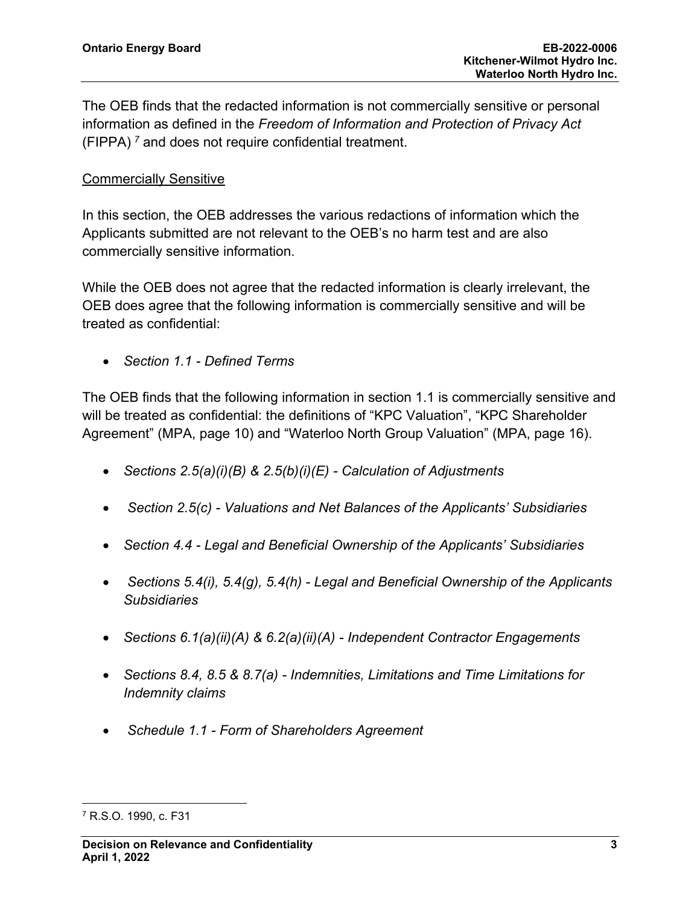The OEB finds that the redacted information is not commercially sensitive or personal information as defined in the *Freedom of Information and Protection of Privacy Act* (FIPPA) *[7](#page-2-0)* and does not require confidential treatment.

#### Commercially Sensitive

In this section, the OEB addresses the various redactions of information which the Applicants submitted are not relevant to the OEB's no harm test and are also commercially sensitive information.

While the OEB does not agree that the redacted information is clearly irrelevant, the OEB does agree that the following information is commercially sensitive and will be treated as confidential:

• *Section 1.1 - Defined Terms*

The OEB finds that the following information in section 1.1 is commercially sensitive and will be treated as confidential: the definitions of "KPC Valuation", "KPC Shareholder Agreement" (MPA, page 10) and "Waterloo North Group Valuation" (MPA, page 16).

- *Sections 2.5(a)(i)(B) & 2.5(b)(i)(E) - Calculation of Adjustments*
- *Section 2.5(c) - Valuations and Net Balances of the Applicants' Subsidiaries*
- *Section 4.4 - Legal and Beneficial Ownership of the Applicants' Subsidiaries*
- *Sections 5.4(i), 5.4(g), 5.4(h) - Legal and Beneficial Ownership of the Applicants Subsidiaries*
- *Sections 6.1(a)(ii)(A) & 6.2(a)(ii)(A) - Independent Contractor Engagements*
- *Sections 8.4, 8.5 & 8.7(a) - Indemnities, Limitations and Time Limitations for Indemnity claims*
- *Schedule 1.1 - Form of Shareholders Agreement*

<span id="page-2-0"></span><sup>7</sup> R.S.O. 1990, c. F31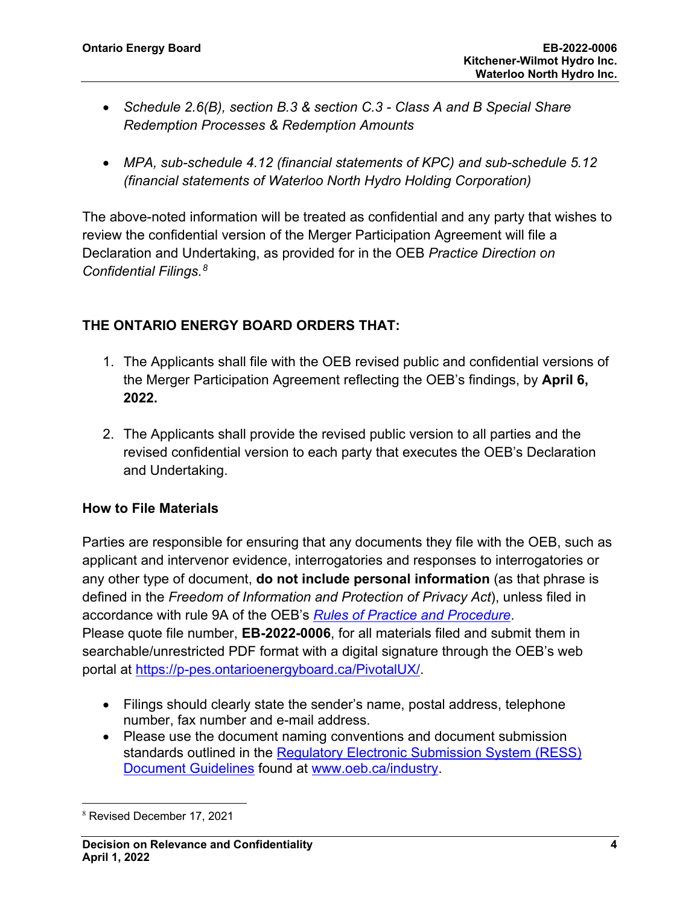- *Schedule 2.6(B), section B.3 & section C.3 - Class A and B Special Share Redemption Processes & Redemption Amounts*
- *MPA, sub-schedule 4.12 (financial statements of KPC) and sub-schedule 5.12 (financial statements of Waterloo North Hydro Holding Corporation)*

The above-noted information will be treated as confidential and any party that wishes to review the confidential version of the Merger Participation Agreement will file a Declaration and Undertaking, as provided for in the OEB *Practice Direction on Confidential Filings. [8](#page-3-0)*

# **THE ONTARIO ENERGY BOARD ORDERS THAT:**

- 1. The Applicants shall file with the OEB revised public and confidential versions of the Merger Participation Agreement reflecting the OEB's findings, by **April 6, 2022.**
- 2. The Applicants shall provide the revised public version to all parties and the revised confidential version to each party that executes the OEB's Declaration and Undertaking.

#### **How to File Materials**

Parties are responsible for ensuring that any documents they file with the OEB, such as applicant and intervenor evidence, interrogatories and responses to interrogatories or any other type of document, **do not include personal information** (as that phrase is defined in the *Freedom of Information and Protection of Privacy Act*), unless filed in accordance with rule 9A of the OEB's *[Rules of Practice and Procedure](https://www.oeb.ca/industry/rules-codes-and-requirements/rules-practice-procedure)*. Please quote file number, **EB-2022-0006**, for all materials filed and submit them in searchable/unrestricted PDF format with a digital signature through the OEB's web portal at [https://p-pes.ontarioenergyboard.ca/PivotalUX/.](https://p-pes.ontarioenergyboard.ca/PivotalUX/)

- Filings should clearly state the sender's name, postal address, telephone number, fax number and e-mail address.
- Please use the document naming conventions and document submission standards outlined in the [Regulatory Electronic Submission System \(RESS\)](https://www.oeb.ca/sites/default/files/RESS-Document-Guidelines-202006.pdf)  [Document Guidelines](https://www.oeb.ca/sites/default/files/RESS-Document-Guidelines-202006.pdf) found at [www.oeb.ca/industry.](https://www.oeb.ca/industry/tools-resources-and-links/filing-systems)

<span id="page-3-0"></span><sup>8</sup> Revised December 17, 2021